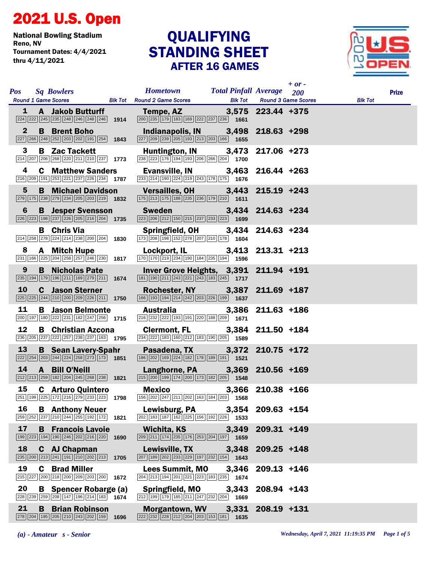## 2021 U.S. Open

National Bowling Stadium Tournament Dates: 4/4/2021 thru 4/11/2021

## STANDING SHEET AFTER 16 GAMES **QUALIFYING**



| <b>Pos</b> Sq Bowlers |                                                                                                                                                                                           |      | <b>Hometown Total Pinfall Average</b> 200<br>Round 1 Game Scores Blk Tot Round 2 Game Scores Blk Tot Round 3 Game Scores                                                                                                                                                        |       |                   | $+$ or - | <b>Blk Tot</b> | <b>Prize</b> |
|-----------------------|-------------------------------------------------------------------------------------------------------------------------------------------------------------------------------------------|------|---------------------------------------------------------------------------------------------------------------------------------------------------------------------------------------------------------------------------------------------------------------------------------|-------|-------------------|----------|----------------|--------------|
|                       | $\sqrt{224}\sqrt{222}\sqrt{245}\sqrt{235}\sqrt{248}\sqrt{246}\sqrt{248}\sqrt{246}$ 1914                                                                                                   |      | 1 A Jakob Butturff Tempe, AZ 3,575 223.44 +375<br>$\boxed{200}$ $\boxed{235}$ $\boxed{179}$ $\boxed{183}$ $\boxed{169}$ $\boxed{222}$ $\boxed{237}$ $\boxed{236}$ $\boxed{1661}$                                                                                                |       |                   |          |                |              |
| $\mathbf{2}$          | <b>B</b> Brent Boho<br>$\boxed{227}$ $\boxed{266}$ $\boxed{248}$ $\boxed{252}$ $\boxed{203}$ $\boxed{202}$ $\boxed{191}$ $\boxed{254}$ <b>1843</b>                                        |      | Indianapolis, IN 3,498 218.63 +298<br>$\boxed{227}\boxed{209}\boxed{239}\boxed{205}\boxed{193}\boxed{213}\boxed{203}\boxed{166}$ 1655                                                                                                                                           |       |                   |          |                |              |
| 3                     | <b>B</b> Zac Tackett<br>$\boxed{214}$ $\boxed{207}$ $\boxed{206}$ $\boxed{268}$ $\boxed{220}$ $\boxed{211}$ $\boxed{210}$ $\boxed{237}$ <b>1773</b>                                       |      | Huntington, IN 3,473 217.06 +273<br>$\boxed{238}\boxed{223}\boxed{176}\boxed{194}\boxed{193}\boxed{206}\boxed{266}\boxed{204}$ 1700                                                                                                                                             |       |                   |          |                |              |
| 4                     | <b>C</b> Matthew Sanders<br>$\boxed{216}$ $\boxed{209}$ $\boxed{191}$ $\boxed{253}$ $\boxed{221}$ $\boxed{237}$ $\boxed{226}$ $\boxed{234}$ <b>1787</b>                                   |      | Evansville, IN 3,463 216.44 +263<br>$\boxed{233}\boxed{214}\boxed{190}\boxed{224}\boxed{219}\boxed{243}\boxed{178}\boxed{175}$ 1676                                                                                                                                             |       |                   |          |                |              |
| $5\phantom{.0}$       | 279 175 238 279 234 205 203 219 1832                                                                                                                                                      |      | B Michael Davidson Versailles, OH 3,443 215.19 +243<br>$\boxed{175}\boxed{213}\boxed{175}\boxed{188}\boxed{235}\boxed{236}\boxed{179}\boxed{210}$ 1611                                                                                                                          |       |                   |          |                |              |
| 6                     | $\boxed{226}$ $\boxed{223}$ $\boxed{198}$ $\boxed{237}$ $\boxed{226}$ $\boxed{205}$ $\boxed{216}$ $\boxed{204}$ <b>1735</b>                                                               |      | <b>B</b> Jesper Svensson Sweden 3,434 214.63 +234<br>$\boxed{223}$ $\boxed{206}$ $\boxed{212}$ $\boxed{150}$ $\boxed{215}$ $\boxed{237}$ $\boxed{233}$ $\boxed{223}$ <b>1699</b>                                                                                                |       |                   |          |                |              |
|                       | <b>B</b> Chris Via<br>$\boxed{214}$ $\boxed{258}$ $\boxed{278}$ $\boxed{224}$ $\boxed{214}$ $\boxed{238}$ $\boxed{200}$ $\boxed{204}$ <b>1830</b>                                         |      | Springfield, OH 3,434 214.63 +234<br>$\boxed{173}$ $\boxed{208}$ $\boxed{198}$ $\boxed{152}$ $\boxed{278}$ $\boxed{207}$ $\boxed{210}$ $\boxed{178}$ $\boxed{1604}$                                                                                                             |       |                   |          |                |              |
|                       | 8 A Mitch Hupe<br>$\boxed{231}$ 166 $\boxed{225}$ $\boxed{204}$ $\boxed{258}$ $\boxed{257}$ $\boxed{246}$ $\boxed{230}$ 1817                                                              |      | Lockport, IL 3,413 213.31 +213<br>$\boxed{170}$ $\boxed{170}$ $\boxed{219}$ $\boxed{234}$ $\boxed{190}$ $\boxed{184}$ $\boxed{235}$ $\boxed{194}$ $\boxed{1596}$                                                                                                                |       |                   |          |                |              |
| 9                     | <b>B</b> Nicholas Pate<br>$\boxed{235}$ 194 179 196 211 169 279 211 1674                                                                                                                  |      | Inver Grove Heights, 3,391 211.94 +191<br>$\boxed{181}$ $\boxed{190}$ $\boxed{211}$ $\boxed{243}$ $\boxed{221}$ $\boxed{243}$ $\boxed{183}$ $\boxed{245}$ $\boxed{1717}$                                                                                                        |       |                   |          |                |              |
| <b>10</b>             | <b>C</b> Jason Sterner<br>225 225 244 210 200 209 226 211 1750                                                                                                                            |      | Rochester, NY 3,387 211.69 +187<br>$\boxed{166}$ 193 194 214 242 203 226 199 1637                                                                                                                                                                                               |       |                   |          |                |              |
| 11                    | <b>B</b> Jason Belmonte<br>200 197 180 222 231 182 247 256 1715                                                                                                                           |      | Australia 3,386 211.63 +186<br>$\boxed{216}$ $\boxed{232}$ $\boxed{222}$ $\boxed{193}$ $\boxed{191}$ $\boxed{220}$ $\boxed{188}$ $\boxed{209}$ <b>1671</b>                                                                                                                      |       |                   |          |                |              |
| 12                    | 236 205 237 222 257 238 237 163 1795                                                                                                                                                      |      | B Christian Azcona Clermont, FL 3,384 211.50 +184<br>$\overline{234}$ $\overline{222}$ 183 160 212 183 190 205 1589                                                                                                                                                             |       |                   |          |                |              |
| 13                    | <b>B</b> Sean Lavery-Spahr<br>$\boxed{222}\boxed{254}\boxed{203}\boxed{244}\boxed{224}\boxed{258}\boxed{273}\boxed{173}$ 1851                                                             |      | Pasadena, TX 3,372 210.75 +172<br>$\boxed{186}$ $\boxed{202}$ $\boxed{169}$ $\boxed{224}$ $\boxed{182}$ $\boxed{178}$ $\boxed{189}$ $\boxed{191}$ <b>1521</b>                                                                                                                   |       |                   |          |                |              |
|                       | 14 A Bill O'Neill<br>$\boxed{212}\boxed{213}\boxed{259}\boxed{182}\boxed{204}\boxed{245}\boxed{268}\boxed{238}$ 1821                                                                      |      | Langhorne, PA 3,369 210.56 +169<br>215 200 199 174 200 173 182 205 1548                                                                                                                                                                                                         |       |                   |          |                |              |
| 15                    | <b>C</b> Arturo Quintero                                                                                                                                                                  |      | <b>Mexico Mexico</b><br>$\boxed{251}$ $\boxed{199}$ $\boxed{225}$ $\boxed{172}$ $\boxed{216}$ $\boxed{279}$ $\boxed{233}$ $\boxed{223}$ <b>1798</b> $\boxed{156}$ $\boxed{202}$ $\boxed{247}$ $\boxed{211}$ $\boxed{202}$ $\boxed{163}$ $\boxed{184}$ $\boxed{203}$ <b>1568</b> |       | 3,366 210.38 +166 |          |                |              |
| 16                    | <b>B</b> Anthony Neuer<br>$\boxed{259}$ $\boxed{252}$ $\boxed{237}$ $\boxed{210}$ $\boxed{244}$ $\boxed{255}$ $\boxed{192}$ $\boxed{172}$ <b>1821</b>                                     |      | Lewisburg, PA 3,354 209.63 +154<br>$\boxed{202}$ $\boxed{183}$ $\boxed{187}$ $\boxed{162}$ $\boxed{225}$ $\boxed{156}$ $\boxed{192}$ $\boxed{226}$ <b>1533</b>                                                                                                                  |       |                   |          |                |              |
| 17                    | <b>B</b> Francois Lavoie<br>199 223 194 190 246 202 216 220 1690                                                                                                                          |      | Wichita, KS<br>$\boxed{209}$ $\boxed{211}$ $\boxed{174}$ $\boxed{235}$ $\boxed{176}$ $\boxed{253}$ $\boxed{204}$ $\boxed{197}$ 1659                                                                                                                                             | 3,349 | 209.31 +149       |          |                |              |
| 18                    | C AJ Chapman<br>$\boxed{235}$ $\boxed{200}$ $\boxed{213}$ $\boxed{241}$ $\boxed{191}$ $\boxed{210}$ $\boxed{202}$ $\boxed{213}$ 1705                                                      |      | Lewisville, TX<br>207 189 202 233 229 197 232 154 1643                                                                                                                                                                                                                          | 3,348 | $209.25 + 148$    |          |                |              |
| 19<br>C               | <b>Brad Miller</b><br>215 227 200 218 200 209 203 200                                                                                                                                     | 1672 | <b>Lees Summit, MO</b><br>$\boxed{204}$ $\boxed{213}$ $\boxed{194}$ $\boxed{201}$ $\boxed{221}$ $\boxed{223}$ $\boxed{183}$ $\boxed{235}$ <b>1674</b>                                                                                                                           | 3,346 | $209.13 + 146$    |          |                |              |
| 20                    | <b>B</b> Spencer Robarge (a)<br>$\overline{228}$ $\overline{239}$ $\overline{259}$ $\overline{208}$ $\overline{147}$ $\overline{196}$ $\overline{214}$ $\overline{183}$ $\overline{1674}$ |      | <b>Springfield, MO</b><br>$\boxed{212}$ 199 179 185 211 247 232 204 1669                                                                                                                                                                                                        | 3,343 | 208.94 +143       |          |                |              |
| 21                    | <b>B</b> Brian Robinson<br>278 204 195 205 210 243 202 159 1696                                                                                                                           |      | <b>Morgantown, WV</b><br>$\boxed{222}\boxed{232}\boxed{228}\boxed{212}\boxed{204}\boxed{203}\boxed{153}\boxed{181}$ <b>1635</b>                                                                                                                                                 |       | 3,331 208.19 +131 |          |                |              |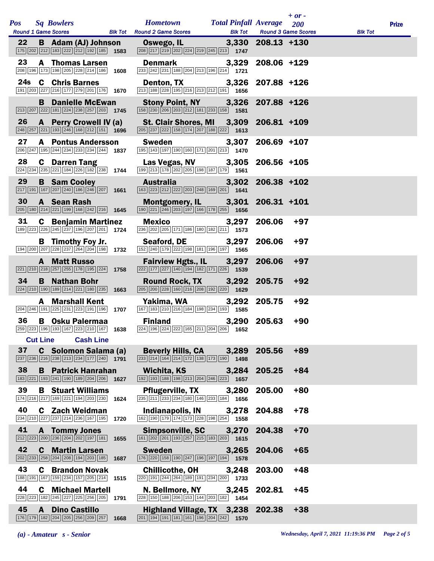|            |                 |                                                                                                                                                                      |      |                                                                                                                                                                          |       |                | $+$ or $-$                               |                |              |
|------------|-----------------|----------------------------------------------------------------------------------------------------------------------------------------------------------------------|------|--------------------------------------------------------------------------------------------------------------------------------------------------------------------------|-------|----------------|------------------------------------------|----------------|--------------|
| <b>Pos</b> |                 | <b>Sq Bowlers</b>                                                                                                                                                    |      | <b>Hometown Total Pinfall Average</b><br>Round 1 Game Scores <b>BIK Tot</b> Round 2 Game Scores <b>BIK Tot</b>                                                           |       |                | <b>200</b><br><b>Round 3 Game Scores</b> | <b>Blk Tot</b> | <b>Prize</b> |
| 22         |                 | <b>B</b> Adam (AJ) Johnson<br>$\boxed{175}$ $\boxed{202}$ $\boxed{212}$ $\boxed{183}$ $\boxed{222}$ $\boxed{212}$ $\boxed{192}$ $\boxed{185}$ <b>1583</b>            |      | Oswego, IL 3,330 208.13 +130<br>208 217 219 202 224 219 245 213 1747                                                                                                     |       |                |                                          |                |              |
| 23         |                 | <b>A</b> Thomas Larsen<br>208 196 173 198 205 228 214 186 1608                                                                                                       |      | <b>Denmark</b><br>$\boxed{233}$ $\boxed{242}$ $\boxed{231}$ $\boxed{188}$ $\boxed{204}$ $\boxed{213}$ $\boxed{196}$ $\boxed{214}$ $\boxed{1721}$                         | 3,329 | $208.06 + 129$ |                                          |                |              |
|            | 24s             | <b>C</b> Chris Barnes<br>$\boxed{191}\boxed{203}\boxed{227}\boxed{216}\boxed{177}\boxed{279}\boxed{201}\boxed{176}$ 1670                                             |      | Denton, TX 3,326 207.88 +126<br>213 188 228 195 216 213 212 191 1656                                                                                                     |       |                |                                          |                |              |
|            |                 | <b>B</b> Danielle McEwan<br>$\boxed{213}$ $\boxed{207}$ $\boxed{222}$ $\boxed{181}$ $\boxed{224}$ $\boxed{238}$ $\boxed{257}$ $\boxed{203}$ <b>1745</b>              |      | Stony Point, NY 3,326<br>158 230 206 203 212 181 233 158 1581                                                                                                            |       | $207.88 + 126$ |                                          |                |              |
| 26         |                 | <b>A</b> Perry Crowell IV (a)<br>$\boxed{248}\boxed{257}\boxed{221}\boxed{193}\boxed{246}\boxed{168}\boxed{212}\boxed{151}$ 1696                                     |      | St. Clair Shores, MI 3,309 206.81 +109<br>$\boxed{205}$ $\boxed{237}$ $\boxed{222}$ $\boxed{158}$ $\boxed{174}$ $\boxed{207}$ $\boxed{188}$ $\boxed{222}$ $\boxed{1613}$ |       |                |                                          |                |              |
| 27         |                 | <b>A</b> Pontus Andersson<br>$\overline{206}$ $\overline{247}$ 195 $\overline{244}$ $\overline{234}$ $\overline{233}$ $\overline{234}$ $\overline{244}$ 1837         |      | <b>Sweden Sweden</b><br>195 143 197 190 160 171 201 213 1470                                                                                                             | 3,307 | $206.69$ +107  |                                          |                |              |
| 28         |                 | <b>C</b> Darren Tang<br>$\overline{224}$ $\overline{234}$ $\overline{235}$ $\overline{221}$ $\overline{184}$ $\overline{226}$ $\overline{182}$ $\overline{238}$ 1744 |      | Las Vegas, NV 3,305<br>199 213 178 202 205 198 187 179 1561                                                                                                              |       | $206.56$ +105  |                                          |                |              |
| 29         |                 | <b>B</b> Sam Cooley<br>$\boxed{217}$ 191 167 207 240 186 246 207 1661                                                                                                |      | <b>Australia</b><br>163 223 212 222 203 248 169 201 1641                                                                                                                 | 3,302 | $206.38 + 102$ |                                          |                |              |
| 30         |                 | A Sean Rash<br>205 180 214 221 199 168 242 216 1645                                                                                                                  |      | Montgomery, IL 3,301 206.31 +101<br>190 221 246 203 197 166 178 255 1656                                                                                                 |       |                |                                          |                |              |
| 31         |                 | <b>C</b> Benjamin Martinez<br>189 223 226 245 237 196 207 201 1724                                                                                                   |      | Mexico<br>236 202 205 171 186 180 182 211 1573                                                                                                                           | 3,297 | 206.06         | $+97$                                    |                |              |
|            |                 | <b>B</b> Timothy Foy Jr.<br>194 200 207 228 237 264 204 198 1732                                                                                                     |      | Seaford, DE<br>152 240 179 222 198 181 196 197 1565                                                                                                                      | 3,297 | 206.06         | $+97$                                    |                |              |
|            |                 | <b>A</b> Matt Russo<br>$\boxed{221}$ $\boxed{210}$ $\boxed{218}$ $\boxed{257}$ $\boxed{255}$ $\boxed{178}$ $\boxed{195}$ $\boxed{224}$ <b>1758</b>                   |      | Fairview Hgts., IL 3,297<br>$\boxed{222}\boxed{177}\boxed{227}\boxed{140}\boxed{194}\boxed{182}\boxed{171}\boxed{226}$ 1539                                              |       | 206.06         | $+97$                                    |                |              |
| 34         |                 | <b>B</b> Nathan Bohr<br>$\boxed{224}$ $\boxed{210}$ $\boxed{190}$ $\boxed{189}$ $\boxed{214}$ $\boxed{221}$ $\boxed{180}$ $\boxed{235}$ <b>1663</b>                  |      | Round Rock, TX 3,292<br>$\boxed{205}$ $\boxed{200}$ $\boxed{228}$ $\boxed{160}$ $\boxed{216}$ $\boxed{208}$ $\boxed{192}$ $\boxed{220}$ $\boxed{1629}$                   |       | 205.75         | $+92$                                    |                |              |
|            |                 | <b>A</b> Marshall Kent<br>204 246 191 225 231 223 191 196 1707                                                                                                       |      | Yakima, WA<br>167 183 210 216 184 198 234 193 1585                                                                                                                       | 3,292 | 205.75         | $+92$                                    |                |              |
| 36         |                 | <b>B</b> Osku Palermaa                                                                                                                                               |      | <b>Finland</b><br>259 223 196 193 167 223 210 167 1638 224 196 224 222 165 211 204 206 1652                                                                              |       | 3,290 205.63   | $+90$                                    |                |              |
|            | <b>Cut Line</b> | <b>Cash Line</b>                                                                                                                                                     |      |                                                                                                                                                                          |       |                |                                          |                |              |
| 37         |                 | C Solomon Salama (a)<br>$\boxed{237}$ $\boxed{236}$ $\boxed{216}$ $\boxed{238}$ $\boxed{213}$ $\boxed{234}$ $\boxed{177}$ $\boxed{240}$ 1791                         |      | <b>Beverly Hills, CA</b><br>$\boxed{233}\boxed{214}\boxed{164}\boxed{214}\boxed{172}\boxed{138}\boxed{173}\boxed{190}$ 1498                                              | 3,289 | 205.56         | $+89$                                    |                |              |
| 38         |                 | <b>B</b> Patrick Hanrahan<br>183 221 193 241 190 189 204 206                                                                                                         | 1627 | Wichita, KS<br>192 193 188 198 213 204 246 223 1657                                                                                                                      | 3,284 | 205.25         | $+84$                                    |                |              |
| 39         | B               | <b>Stuart Williams</b><br>174 216 217 169 221 194 203 230 1624                                                                                                       |      | <b>Pflugerville, TX</b><br>$\overline{235}$ $\overline{211}$ $\overline{233}$ $\overline{234}$ 180 146 233 184 1856                                                      | 3,280 | 205.00         | $+80$                                    |                |              |
| 40         |                 | <b>C</b> Zach Weidman<br>234 210 227 237 214 236 167 195                                                                                                             | 1720 | Indianapolis, IN<br>162 190 179 174 173 228 198 254 1558                                                                                                                 | 3,278 | 204.88         | $+78$                                    |                |              |
| 41         | A               | <b>Tommy Jones</b><br>212 223 200 236 204 202 197 181                                                                                                                | 1655 | <b>Simpsonville, SC</b><br>$\boxed{161}\boxed{202}\boxed{201}\boxed{193}\boxed{257}\boxed{215}\boxed{183}\boxed{203}$ 1615                                               | 3,270 | 204.38         | $+70$                                    |                |              |
| 42         | C               | <b>Martin Larsen</b><br>202 233 258 204 208 194 203 185                                                                                                              | 1687 | <b>Sweden</b><br>176 220 158 190 247 196 197 194 1578                                                                                                                    | 3,265 | 204.06         | $+65$                                    |                |              |
| 43         |                 | <b>C</b> Brandon Novak<br>188 191 167 159 234 157 205 214                                                                                                            | 1515 | <b>Chillicothe, OH</b><br>$\boxed{220}$ 191 244 264 189 191 234 200 1733                                                                                                 | 3,248 | 203.00         | $+48$                                    |                |              |
| 44         |                 | <b>C</b> Michael Martell<br>228 223 182 245 227 225 256 205                                                                                                          | 1791 | N. Bellmore, NY<br>228 150 188 206 153 144 203 182 1454                                                                                                                  | 3,245 | 202.81         | $+45$                                    |                |              |
| 45         | $\mathbf{A}$    | <b>Dino Castillo</b><br>176 179 182 204 205 256 209 257                                                                                                              | 1668 | Highland Village, TX 3,238 202.38<br>$\boxed{201}$ $\boxed{194}$ $\boxed{191}$ $\boxed{181}$ $\boxed{161}$ $\boxed{196}$ $\boxed{204}$ $\boxed{242}$ <b>1570</b>         |       |                | $+38$                                    |                |              |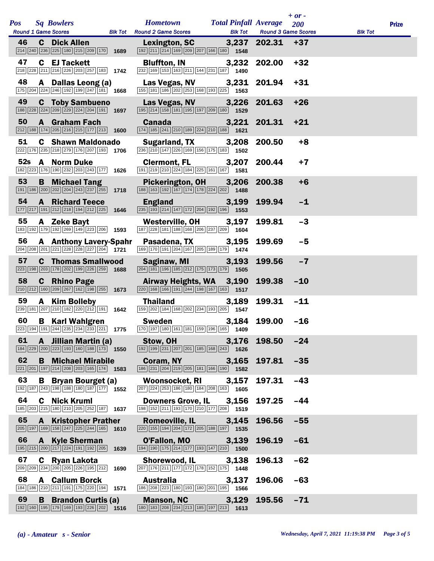|            |              |                                                                                                                                                        |      |                                                                                                                                                                                                                                                                          |                                                |                            | $+$ or $-$ |                |              |
|------------|--------------|--------------------------------------------------------------------------------------------------------------------------------------------------------|------|--------------------------------------------------------------------------------------------------------------------------------------------------------------------------------------------------------------------------------------------------------------------------|------------------------------------------------|----------------------------|------------|----------------|--------------|
| <b>Pos</b> |              | <b>Sq Bowlers</b><br><b>Round 1 Game Scores</b>                                                                                                        |      | <b>Hometown</b><br><b>Blk Tot</b> Round 2 Game Scores                                                                                                                                                                                                                    | <b>Total Pinfall Average</b><br><b>Blk Tot</b> | <b>Round 3 Game Scores</b> | 200        | <b>Blk Tot</b> | <b>Prize</b> |
| 46         | C .          | <b>Dick Allen</b><br>$\boxed{214}$ $\boxed{240}$ $\boxed{236}$ $\boxed{225}$ $\boxed{180}$ $\boxed{215}$ $\boxed{209}$ $\boxed{170}$ <b>1689</b>       |      | <b>Lexington, SC</b><br>192 211 214 169 209 207 166 180 1548                                                                                                                                                                                                             |                                                | $3,237$ 202.31 +37         |            |                |              |
| 47         |              | <b>C</b> EJ Tackett<br>218 228 211 216 226 203 257 183 1742                                                                                            |      | <b>Bluffton, IN</b><br>$\boxed{232}$ 169 153 163 211 144 231 187 1490                                                                                                                                                                                                    | 3,232                                          | 202.00                     | $+32$      |                |              |
| 48         |              | A Dallas Leong (a)<br>175 204 224 246 192 199 247 181 1668                                                                                             |      | Las Vegas, NV<br>$\boxed{155}$ $\boxed{181}$ $\boxed{186}$ $\boxed{202}$ $\boxed{253}$ $\boxed{168}$ $\boxed{193}$ $\boxed{225}$ $\boxed{1563}$                                                                                                                          |                                                | 3,231 201.94               | $+31$      |                |              |
| 49         |              | <b>C</b> Toby Sambueno                                                                                                                                 |      | Las Vegas, NV                                                                                                                                                                                                                                                            | 3,226                                          | 201.63                     | $+26$      |                |              |
| 50         |              | 188 228 224 209 229 224 204 191 1697<br><b>A</b> Graham Fach                                                                                           |      | 195 214 158 181 195 197 209 180 1529<br><b>Canada Canada</b>                                                                                                                                                                                                             | 3,221                                          | 201.31                     | $+21$      |                |              |
| 51         |              | $\boxed{212}$ 188 174 205 216 215 177 213 1600<br><b>C</b> Shawn Maldonado                                                                             |      | 174 185 241 210 189 224 210 188 1621<br>Sugarland, TX                                                                                                                                                                                                                    | 3,208                                          | 200.50                     | $+8$       |                |              |
|            |              | 222 176 235 218 279 176 207 193 1706<br>52s A Norm Duke                                                                                                |      | 236 210 147 226 169 156 175 183 1502<br><b>Clermont, FL</b>                                                                                                                                                                                                              | 3,207                                          | 200.44                     | $+7$       |                |              |
|            |              | 182 223 176 190 232 203 243 177 1626                                                                                                                   |      | $\boxed{191}\boxed{219}\boxed{210}\boxed{224}\boxed{184}\boxed{225}\boxed{161}\boxed{167}$ 1581                                                                                                                                                                          |                                                |                            |            |                |              |
| 53         |              | <b>B</b> Michael Tang<br>191   186   200   202   204   243   237   255                                                                                 | 1718 | <b>Pickerington, OH</b><br>188 163 192 167 174 178 224 202 1488                                                                                                                                                                                                          | 3,206                                          | 200.38                     | $+6$       |                |              |
| 54         |              | <b>A</b> Richard Teece<br>177 217 191 212 218 194 212 225 1646                                                                                         |      | <b>England</b><br>$\boxed{235}$ $\boxed{193}$ $\boxed{214}$ $\boxed{147}$ $\boxed{172}$ $\boxed{204}$ $\boxed{192}$ $\boxed{196}$ <b>1553</b>                                                                                                                            | 3,199                                          | 199.94                     | $-1$       |                |              |
| 55         |              | A Zeke Bayt<br>183 192 179 192 269 149 223 206 1593                                                                                                    |      | Westerville, OH<br>187 228 181 188 168 206 237 209 1604                                                                                                                                                                                                                  | 3,197                                          | 199.81                     | $-3$       |                |              |
| 56         |              | <b>A</b> Anthony Lavery-Spahr<br>204 208 201 221 228 228 227 204 1721                                                                                  |      | Pasadena, TX<br>$\boxed{169}$ 170 191 204 167 205 189 179 1474                                                                                                                                                                                                           | 3,195                                          | 199.69                     | $-5$       |                |              |
| 57         |              | <b>C</b> Thomas Smallwood<br>223 198 203 178 202 199 226 259 1688                                                                                      |      | Saginaw, MI<br>$\boxed{204}$ $\boxed{181}$ $\boxed{196}$ $\boxed{185}$ $\boxed{212}$ $\boxed{175}$ $\boxed{173}$ $\boxed{179}$ <b>1505</b>                                                                                                                               | 3,193                                          | 199.56                     | $-7$       |                |              |
| 58         |              | <b>C</b> Rhino Page<br>$\boxed{210}\boxed{212}\boxed{160}\boxed{209}\boxed{267}\boxed{162}\boxed{198}\boxed{255}$ 1673                                 |      | Airway Heights, WA 3,190<br>$\boxed{220}$ 168 166 191 244 198 167 163 1517                                                                                                                                                                                               |                                                | 199.38                     | $-10$      |                |              |
| 59         | A            | <b>Kim Bolleby</b><br>$\boxed{239}$ 181 $\boxed{207}$ $\boxed{210}$ 182 $\boxed{220}$ $\boxed{212}$ 191 1942                                           |      | <b>Thailand</b><br>[159] 202] 184 168 202 234 193 205 1547                                                                                                                                                                                                               | 3,189                                          | 199.31                     | $-11$      |                |              |
| 60         |              | <b>B</b> Karl Wahlgren                                                                                                                                 |      | <b>Sweden</b><br>$\boxed{223}$ $\boxed{194}$ $\boxed{191}$ $\boxed{244}$ $\boxed{235}$ $\boxed{234}$ $\boxed{233}$ $\boxed{221}$ <b>1775</b> $\boxed{170}$ $\boxed{197}$ $\boxed{180}$ $\boxed{161}$ $\boxed{181}$ $\boxed{159}$ $\boxed{196}$ $\boxed{165}$ <b>1409</b> |                                                | 3,184 199.00               | $-16$      |                |              |
| 61         |              | A Jillian Martin (a)<br>$\boxed{184}$ $\boxed{229}$ $\boxed{200}$ $\boxed{223}$ $\boxed{193}$ $\boxed{160}$ $\boxed{188}$ $\boxed{173}$ $\boxed{1550}$ |      | Stow, OH<br>$\boxed{192}\boxed{199}\boxed{231}\boxed{207}\boxed{201}\boxed{185}\boxed{168}\boxed{243}$ 1626                                                                                                                                                              | 3,176                                          | 198.50                     | $-24$      |                |              |
| 62         | B.           | <b>Michael Mirabile</b><br>$\boxed{221}$ $\boxed{201}$ $\boxed{197}$ $\boxed{214}$ $\boxed{208}$ $\boxed{203}$ $\boxed{165}$ $\boxed{174}$ <b>1583</b> |      | Coram, NY<br>186 231 204 219 205 181 166 190 1582                                                                                                                                                                                                                        | 3,165                                          | 197.81                     | $-35$      |                |              |
| 63         |              | <b>B</b> Bryan Bourget (a)<br>192 187 243 198 188 180 187 177 1552                                                                                     |      | <b>Woonsocket, RI</b><br>207 224 253 186 180 184 208 163 1605                                                                                                                                                                                                            | 3,157                                          | 197.31                     | $-43$      |                |              |
| 64         |              | <b>C</b> Nick Kruml<br>185 203 215 180 210 205 252 187                                                                                                 | 1637 | <b>Downers Grove, IL</b><br>$\boxed{198}\boxed{152}\boxed{211}\boxed{193}\boxed{170}\boxed{210}\boxed{177}\boxed{208} \qquad \textbf{1519}$                                                                                                                              | 3,156                                          | 197.25                     | $-44$      |                |              |
| 65         | $\mathbf{A}$ | <b>Kristopher Prather</b>                                                                                                                              |      | Romeoville, IL                                                                                                                                                                                                                                                           | 3,145                                          | 196.56                     | $-55$      |                |              |
|            |              | $\boxed{205}$ 197 169 158 247 225 244 165                                                                                                              | 1610 | $\boxed{220}$ 155 194 204 172 205 188 197 1535                                                                                                                                                                                                                           |                                                |                            |            |                |              |
| 66         | A            | <b>Kyle Sherman</b><br>195 215 200 217 224 191 192 205                                                                                                 | 1639 | O'Fallon, MO<br>$\boxed{194}$ $\boxed{190}$ $\boxed{175}$ $\boxed{214}$ $\boxed{177}$ $\boxed{193}$ $\boxed{147}$ $\boxed{210}$ <b>1500</b>                                                                                                                              | 3,139                                          | 196.19                     | $-61$      |                |              |
| 67         |              | C Ryan Lakota<br>209 209 234 200 205 226 195 212                                                                                                       | 1690 | <b>Shorewood, IL</b><br>207 176 211 177 172 178 152 175 1448                                                                                                                                                                                                             | 3,138                                          | 196.13                     | $-62$      |                |              |
| 68         |              | <b>A</b> Callum Borck<br>184   186   210   211   191   175   220   194                                                                                 | 1571 | <b>Australia</b><br>186 208 223 180 193 180 201 195 1566                                                                                                                                                                                                                 | 3,137                                          | 196.06                     | $-63$      |                |              |
| 69         | B            | <b>Brandon Curtis (a)</b><br>192 160 195 179 169 193 226 202                                                                                           | 1516 | <b>Manson, NC</b><br>$\boxed{180}$ $\boxed{183}$ $\boxed{208}$ $\boxed{234}$ $\boxed{213}$ $\boxed{185}$ $\boxed{197}$ $\boxed{213}$ $\boxed{1613}$                                                                                                                      | 3,129                                          | 195.56                     | $-71$      |                |              |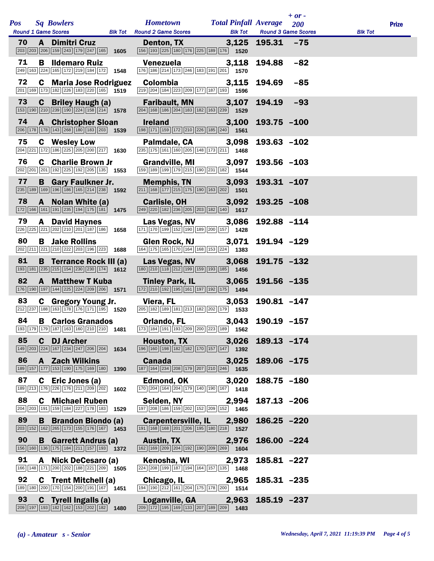|            |    |                                                                                                                                                          |      |                                                                                                                                                             |       |                                    | $+$ or $-$ |                |              |
|------------|----|----------------------------------------------------------------------------------------------------------------------------------------------------------|------|-------------------------------------------------------------------------------------------------------------------------------------------------------------|-------|------------------------------------|------------|----------------|--------------|
| <b>Pos</b> |    | <b>Sq Bowlers</b><br>Round 1 Game Scores Blk Tot Round 2 Game Scores                                                                                     |      | <b>Hometown Total Pinfall Average</b>                                                                                                                       |       | <b>Blk Tot</b> Round 3 Game Scores | 200        | <b>Blk Tot</b> | <b>Prize</b> |
| 70         |    | <b>A</b> Dimitri Cruz<br>$\boxed{203}$ $\boxed{203}$ $\boxed{206}$ $\boxed{159}$ $\boxed{243}$ $\boxed{179}$ $\boxed{247}$ $\boxed{165}$ <b>1605</b>     |      | Denton, TX 3,125 195.31 -75<br>156 193 225 180 176 225 189 176 1520                                                                                         |       |                                    |            |                |              |
| 71         |    | <b>B</b> Ildemaro Ruiz<br>249 163 224 165 172 219 184 172 1548                                                                                           |      | Venezuela<br>176 186 214 173 246 183 191 201 1570                                                                                                           | 3,118 | 194.88                             | $-82$      |                |              |
| 72         |    | <b>C</b> Maria Jose Rodriguez<br>201 169 173 182 226 183 220 165 1519                                                                                    |      | <b>Colombia</b><br>219 204 184 223 209 177 187 193 1596                                                                                                     | 3,115 | 194.69                             | $-85$      |                |              |
| 73         |    | <b>C</b> Briley Haugh (a)<br>$\boxed{153}$ $\boxed{190}$ $\boxed{210}$ $\boxed{239}$ $\boxed{190}$ $\boxed{224}$ $\boxed{158}$ $\boxed{214}$ <b>1578</b> |      | Faribault, MN 3,107<br>$\boxed{204}$ $\boxed{168}$ $\boxed{186}$ $\boxed{204}$ $\boxed{183}$ $\boxed{182}$ $\boxed{163}$ $\boxed{239}$ $\boxed{1529}$       |       | 194.19                             | $-93$      |                |              |
| 74         |    | <b>A</b> Christopher Sloan<br>206 178 178 143 268 180 183 203 1539                                                                                       |      | <b>Ireland</b><br>[198] [171] [159] [172] [210] [226] [185] [240] [1561                                                                                     | 3,100 | 193.75 -100                        |            |                |              |
| 75         |    | <b>C</b> Wesley Low<br>$\boxed{204}$ $\boxed{221}$ $\boxed{172}$ $\boxed{186}$ $\boxed{225}$ $\boxed{205}$ $\boxed{200}$ $\boxed{217}$ <b>1630</b>       |      | Palmdale, CA<br>235 175 161 160 205 148 173 211 1468                                                                                                        | 3,098 | $193.63 - 102$                     |            |                |              |
| 76         |    | <b>C</b> Charlie Brown Jr<br>202 201 201 192 225 192 205 135 1553                                                                                        |      | Grandville, MI 3,097<br>159 189 199 179 215 190 231 182 1544                                                                                                |       | $193.56 - 103$                     |            |                |              |
| 77         |    | <b>B</b> Gary Faulkner Jr.<br>235 189 169 196 186 165 214 238 1592                                                                                       |      | <b>Memphis, TN</b><br>$\boxed{211}$ 168 177 215 175 190 163 202 1501                                                                                        | 3,093 | 193.31 -107                        |            |                |              |
| 78         |    | A Nolan White (a)<br>$\boxed{172}$ $\boxed{166}$ $\boxed{161}$ $\boxed{191}$ $\boxed{235}$ $\boxed{194}$ $\boxed{175}$ $\boxed{181}$ <b>1475</b>         |      | Carlisle, OH <b>Carlisle</b><br>$\boxed{249}$ $\boxed{220}$ $\boxed{182}$ $\boxed{236}$ $\boxed{205}$ $\boxed{203}$ $\boxed{182}$ $\boxed{140}$ <b>1617</b> | 3,092 | $193.25 - 108$                     |            |                |              |
| 79         |    | <b>A</b> David Haynes<br>226 225 221 202 210 201 187 186 1658                                                                                            |      | Las Vegas, NV 3,086<br>$\boxed{171}$ $\boxed{170}$ $\boxed{199}$ $\boxed{152}$ $\boxed{190}$ $\boxed{189}$ $\boxed{200}$ $\boxed{157}$ $\boxed{1428}$       |       | 192.88 -114                        |            |                |              |
| 80         |    | <b>B</b> Jake Rollins<br>202 211 221 210 222 203 196 223 1688                                                                                            |      | Glen Rock, NJ 3,071<br>164 175 165 170 164 168 153 224 1383                                                                                                 |       | 191.94 -129                        |            |                |              |
| 81         |    | <b>B</b> Terrance Rock III (a)<br>$\boxed{193}$ $\boxed{181}$ $\boxed{235}$ $\boxed{215}$ $\boxed{154}$ $\boxed{230}$ $\boxed{230}$ $\boxed{174}$ 1612   |      | Las Vegas, NV<br>$\boxed{180}\boxed{210}\boxed{118}\boxed{212}\boxed{199}\boxed{159}\boxed{193}\boxed{185}$ 1456                                            | 3,068 | $191.75 - 132$                     |            |                |              |
| 82         |    | <b>A</b> Matthew T Kuba<br>176 190 197 144 225 224 209 206 1571                                                                                          |      | Tinley Park, IL 3,065<br>$\boxed{172}\boxed{210}\boxed{192}\boxed{195}\boxed{161}\boxed{197}\boxed{192}\boxed{175}$ 1494                                    |       | 191.56 -135                        |            |                |              |
| 83         |    | C Gregory Young Jr.<br>$\boxed{212}\boxed{237}\boxed{188}\boxed{163}\boxed{178}\boxed{176}\boxed{171}\boxed{195}$ 1520                                   |      | Viera, FL<br>205 182 189 181 213 182 202 179 1533                                                                                                           | 3,053 | 190.81 -147                        |            |                |              |
| 84         |    | <b>B</b> Carlos Granados                                                                                                                                 |      | <b>Orlando, FL</b><br>193 179 179 187 163 160 210 210 1481 173 184 191 193 209 200 223 189 1562                                                             |       | 3,043 190.19 -157                  |            |                |              |
| 85         |    | <b>C</b> DJ Archer<br>$\boxed{149}$ $\boxed{203}$ $\boxed{224}$ $\boxed{167}$ $\boxed{234}$ $\boxed{247}$ $\boxed{206}$ $\boxed{204}$ <b>1634</b>        |      | Houston, TX 3,026<br>$\boxed{196}$ $\boxed{160}$ $\boxed{198}$ $\boxed{182}$ $\boxed{182}$ $\boxed{170}$ $\boxed{157}$ $\boxed{147}$ $\boxed{1392}$         |       | $189.13 - 174$                     |            |                |              |
| 86         |    | <b>A</b> Zach Wilkins<br>189 157 177 153 190 175 169 180                                                                                                 | 1390 | <b>Canada</b><br>187 164 234 208 179 207 210 246 1635                                                                                                       | 3,025 | 189.06 -175                        |            |                |              |
| 87         |    | C Eric Jones (a)<br>189 213 176 226 176 211 209 202                                                                                                      | 1602 | Edmond, OK<br>$\boxed{170}$ $\boxed{204}$ $\boxed{164}$ $\boxed{204}$ $\boxed{179}$ $\boxed{140}$ $\boxed{190}$ $\boxed{167}$ 1418                          | 3,020 | $188.75 - 180$                     |            |                |              |
| 88         |    | <b>C</b> Michael Ruben<br>204 203 191 159 184 227 178 183                                                                                                | 1529 | Selden, NY<br>197 208 186 159 202 152 209 152 1465                                                                                                          | 2,994 | $187.13 - 206$                     |            |                |              |
| 89         | B. | <b>Brandon Biondo (a)</b><br>$\boxed{203}$ 152 162 265 173 155 176 167 1453                                                                              |      | Carpentersville, IL 2,980<br>191 168 168 201 206 195 180 218 1527                                                                                           |       | $186.25 - 220$                     |            |                |              |
| 90         |    | <b>B</b> Garrett Andrus (a)<br>156 160 136 175 184 211 157 193 1372                                                                                      |      | <b>Austin, TX</b><br>162 169 209 204 192 190 209 269 1604                                                                                                   | 2,976 | $186.00 -224$                      |            |                |              |
| 91         | A  | Nick DeCesaro (a)<br>166 148 171 200 202 188 221 209 1505                                                                                                |      | Kenosha, WI<br>224 208 199 187 194 164 157 135 1468                                                                                                         | 2,973 | 185.81 -227                        |            |                |              |
| 92         |    | <b>C</b> Trent Mitchell (a)<br>189 180 200 170 154 200 191 167 1451                                                                                      |      | Chicago, IL<br>$\boxed{194}$ $\boxed{190}$ $\boxed{212}$ $\boxed{161}$ $\boxed{204}$ $\boxed{175}$ $\boxed{178}$ $\boxed{200}$ 1514                         | 2,965 | $185.31 - 235$                     |            |                |              |
| 93         |    | <b>C</b> Tyrell Ingalls (a)<br>$\boxed{209}$ 197 193 182 162 153 202 182 182                                                                             |      | Loganville, GA 2,963<br>$\boxed{209}$ $\boxed{172}$ $\boxed{195}$ $\boxed{169}$ $\boxed{133}$ $\boxed{207}$ $\boxed{189}$ $\boxed{209}$ <b>1483</b>         |       | $185.19 - 237$                     |            |                |              |